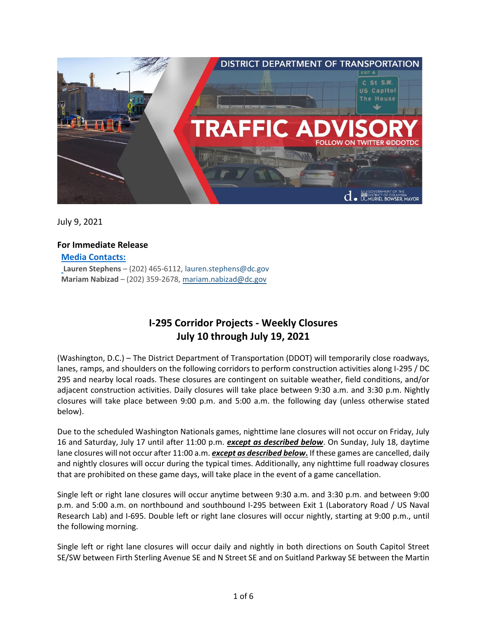

July 9, 2021

## **For Immediate Release**

**Media Contacts:**

**Lauren Stephens** – (202) 465-6112[, lauren.stephens@dc.gov](mailto:lauren.stephens@dc.gov) **Mariam Nabizad** – (202) 359-2678, [mariam.nabizad@dc.gov](mailto:mariam.nabizad@dc.gov)

# **I-295 Corridor Projects - Weekly Closures July 10 through July 19, 2021**

(Washington, D.C.) – The District Department of Transportation (DDOT) will temporarily close roadways, lanes, ramps, and shoulders on the following corridors to perform construction activities along I-295 / DC 295 and nearby local roads. These closures are contingent on suitable weather, field conditions, and/or adjacent construction activities. Daily closures will take place between 9:30 a.m. and 3:30 p.m. Nightly closures will take place between 9:00 p.m. and 5:00 a.m. the following day (unless otherwise stated below).

Due to the scheduled Washington Nationals games, nighttime lane closures will not occur on Friday, July 16 and Saturday, July 17 until after 11:00 p.m. *except as described below*. On Sunday, July 18, daytime lane closures will not occur after 11:00 a.m. *except as described below***.** If these games are cancelled, daily and nightly closures will occur during the typical times. Additionally, any nighttime full roadway closures that are prohibited on these game days, will take place in the event of a game cancellation.

Single left or right lane closures will occur anytime between 9:30 a.m. and 3:30 p.m. and between 9:00 p.m. and 5:00 a.m. on northbound and southbound I-295 between Exit 1 (Laboratory Road / US Naval Research Lab) and I-695. Double left or right lane closures will occur nightly, starting at 9:00 p.m., until the following morning.

Single left or right lane closures will occur daily and nightly in both directions on South Capitol Street SE/SW between Firth Sterling Avenue SE and N Street SE and on Suitland Parkway SE between the Martin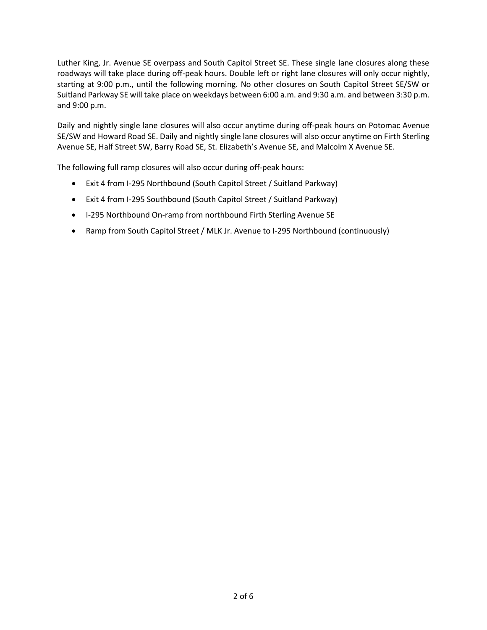Luther King, Jr. Avenue SE overpass and South Capitol Street SE. These single lane closures along these roadways will take place during off-peak hours. Double left or right lane closures will only occur nightly, starting at 9:00 p.m., until the following morning. No other closures on South Capitol Street SE/SW or Suitland Parkway SE will take place on weekdays between 6:00 a.m. and 9:30 a.m. and between 3:30 p.m. and 9:00 p.m.

Daily and nightly single lane closures will also occur anytime during off-peak hours on Potomac Avenue SE/SW and Howard Road SE. Daily and nightly single lane closures will also occur anytime on Firth Sterling Avenue SE, Half Street SW, Barry Road SE, St. Elizabeth's Avenue SE, and Malcolm X Avenue SE.

The following full ramp closures will also occur during off-peak hours:

- Exit 4 from I-295 Northbound (South Capitol Street / Suitland Parkway)
- Exit 4 from I-295 Southbound (South Capitol Street / Suitland Parkway)
- I-295 Northbound On-ramp from northbound Firth Sterling Avenue SE
- Ramp from South Capitol Street / MLK Jr. Avenue to I-295 Northbound (continuously)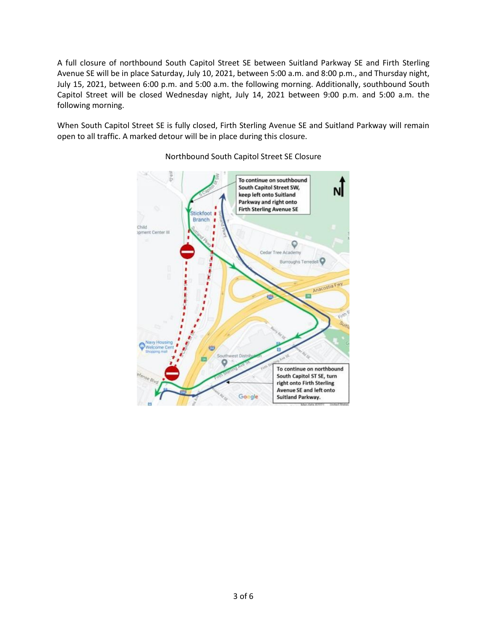A full closure of northbound South Capitol Street SE between Suitland Parkway SE and Firth Sterling Avenue SE will be in place Saturday, July 10, 2021, between 5:00 a.m. and 8:00 p.m., and Thursday night, July 15, 2021, between 6:00 p.m. and 5:00 a.m. the following morning. Additionally, southbound South Capitol Street will be closed Wednesday night, July 14, 2021 between 9:00 p.m. and 5:00 a.m. the following morning.

When South Capitol Street SE is fully closed, Firth Sterling Avenue SE and Suitland Parkway will remain open to all traffic. A marked detour will be in place during this closure.



Northbound South Capitol Street SE Closure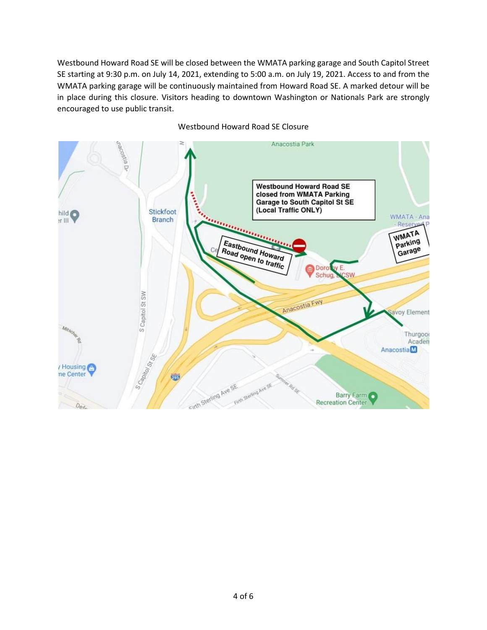Westbound Howard Road SE will be closed between the WMATA parking garage and South Capitol Street SE starting at 9:30 p.m. on July 14, 2021, extending to 5:00 a.m. on July 19, 2021. Access to and from the WMATA parking garage will be continuously maintained from Howard Road SE. A marked detour will be in place during this closure. Visitors heading to downtown Washington or Nationals Park are strongly encouraged to use public transit.



Westbound Howard Road SE Closure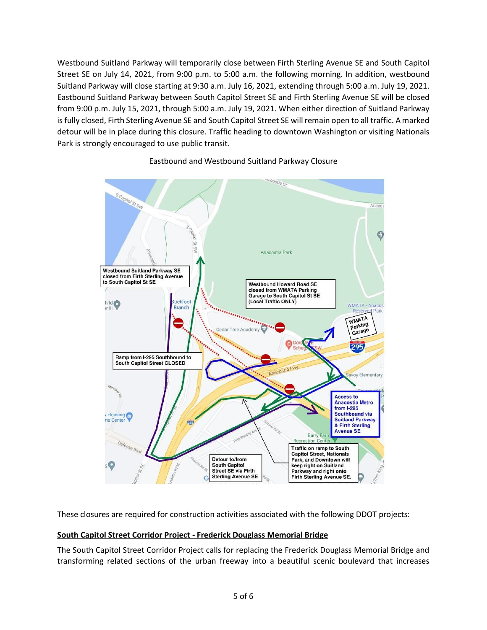Westbound Suitland Parkway will temporarily close between Firth Sterling Avenue SE and South Capitol Street SE on July 14, 2021, from 9:00 p.m. to 5:00 a.m. the following morning. In addition, westbound Suitland Parkway will close starting at 9:30 a.m. July 16, 2021, extending through 5:00 a.m. July 19, 2021. Eastbound Suitland Parkway between South Capitol Street SE and Firth Sterling Avenue SE will be closed from 9:00 p.m. July 15, 2021, through 5:00 a.m. July 19, 2021. When either direction of Suitland Parkway is fully closed, Firth Sterling Avenue SE and South Capitol Street SE will remain open to all traffic. A marked detour will be in place during this closure. Traffic heading to downtown Washington or visiting Nationals Park is strongly encouraged to use public transit.



### Eastbound and Westbound Suitland Parkway Closure

These closures are required for construction activities associated with the following DDOT projects:

#### **South Capitol Street Corridor Project - Frederick Douglass Memorial Bridge**

The South Capitol Street Corridor Project calls for replacing the Frederick Douglass Memorial Bridge and transforming related sections of the urban freeway into a beautiful scenic boulevard that increases